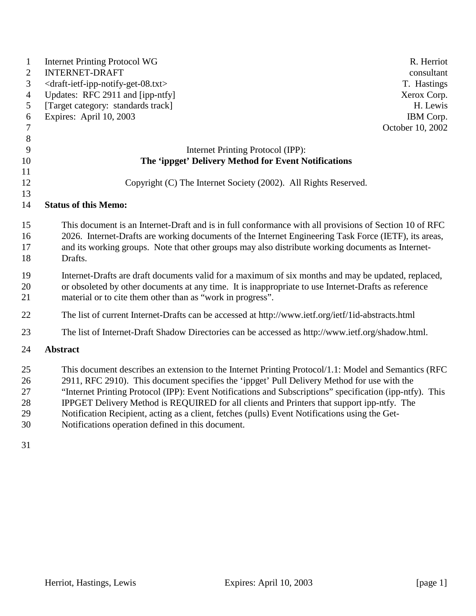| $\mathbf{1}$<br>$\overline{2}$<br>3<br>$\overline{4}$<br>5<br>6<br>$\tau$<br>$8\phantom{1}$ | <b>Internet Printing Protocol WG</b><br>R. Herriot<br><b>INTERNET-DRAFT</b><br>consultant<br><draft-ietf-ipp-notify-get-08.txt><br/>T. Hastings<br/>Updates: RFC 2911 and [ipp-ntfy]<br/>Xerox Corp.<br/>[Target category: standards track]<br/>H. Lewis<br/>Expires: April 10, 2003<br/>IBM Corp.<br/>October 10, 2002</draft-ietf-ipp-notify-get-08.txt>                                                                                                                                                                                                           |
|---------------------------------------------------------------------------------------------|----------------------------------------------------------------------------------------------------------------------------------------------------------------------------------------------------------------------------------------------------------------------------------------------------------------------------------------------------------------------------------------------------------------------------------------------------------------------------------------------------------------------------------------------------------------------|
| 9                                                                                           | Internet Printing Protocol (IPP):                                                                                                                                                                                                                                                                                                                                                                                                                                                                                                                                    |
| 10                                                                                          | The 'ippget' Delivery Method for Event Notifications                                                                                                                                                                                                                                                                                                                                                                                                                                                                                                                 |
| 11                                                                                          |                                                                                                                                                                                                                                                                                                                                                                                                                                                                                                                                                                      |
| 12                                                                                          | Copyright (C) The Internet Society (2002). All Rights Reserved.                                                                                                                                                                                                                                                                                                                                                                                                                                                                                                      |
| 13                                                                                          |                                                                                                                                                                                                                                                                                                                                                                                                                                                                                                                                                                      |
| 14                                                                                          | <b>Status of this Memo:</b>                                                                                                                                                                                                                                                                                                                                                                                                                                                                                                                                          |
| 15<br>16<br>17<br>18                                                                        | This document is an Internet-Draft and is in full conformance with all provisions of Section 10 of RFC<br>2026. Internet-Drafts are working documents of the Internet Engineering Task Force (IETF), its areas,<br>and its working groups. Note that other groups may also distribute working documents as Internet-<br>Drafts.                                                                                                                                                                                                                                      |
| 19<br>20<br>21                                                                              | Internet-Drafts are draft documents valid for a maximum of six months and may be updated, replaced,<br>or obsoleted by other documents at any time. It is inappropriate to use Internet-Drafts as reference<br>material or to cite them other than as "work in progress".                                                                                                                                                                                                                                                                                            |
| 22                                                                                          | The list of current Internet-Drafts can be accessed at http://www.ietf.org/ietf/1id-abstracts.html                                                                                                                                                                                                                                                                                                                                                                                                                                                                   |
| 23                                                                                          | The list of Internet-Draft Shadow Directories can be accessed as http://www.ietf.org/shadow.html.                                                                                                                                                                                                                                                                                                                                                                                                                                                                    |
| 24                                                                                          | <b>Abstract</b>                                                                                                                                                                                                                                                                                                                                                                                                                                                                                                                                                      |
| 25<br>26<br>27<br>28<br>29<br>30                                                            | This document describes an extension to the Internet Printing Protocol/1.1: Model and Semantics (RFC<br>2911, RFC 2910). This document specifies the 'ippget' Pull Delivery Method for use with the<br>"Internet Printing Protocol (IPP): Event Notifications and Subscriptions" specification (ipp-ntfy). This<br>IPPGET Delivery Method is REQUIRED for all clients and Printers that support ipp-ntfy. The<br>Notification Recipient, acting as a client, fetches (pulls) Event Notifications using the Get-<br>Notifications operation defined in this document. |

31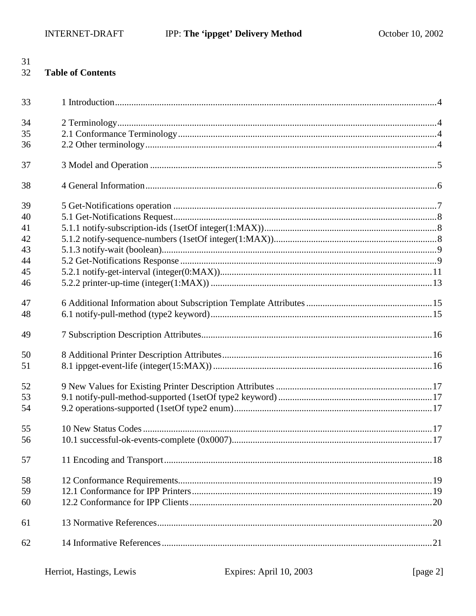# 31

### 32 **Table of Contents**

| 33 |  |
|----|--|
| 34 |  |
| 35 |  |
| 36 |  |
| 37 |  |
| 38 |  |
| 39 |  |
| 40 |  |
| 41 |  |
| 42 |  |
| 43 |  |
| 44 |  |
| 45 |  |
| 46 |  |
| 47 |  |
| 48 |  |
| 49 |  |
| 50 |  |
| 51 |  |
| 52 |  |
| 53 |  |
| 54 |  |
| 55 |  |
| 56 |  |
| 57 |  |
| 58 |  |
| 59 |  |
| 60 |  |
| 61 |  |
| 62 |  |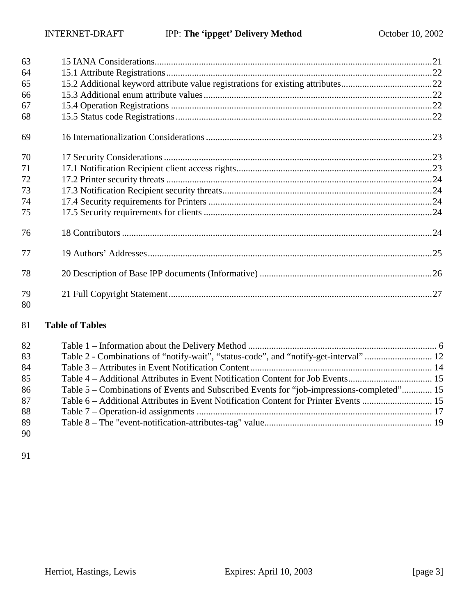| 63       |  |
|----------|--|
| 64       |  |
| 65       |  |
| 66       |  |
| 67       |  |
| 68       |  |
| 69       |  |
| 70       |  |
| 71       |  |
| 72       |  |
| 73       |  |
| 74       |  |
| 75       |  |
| 76       |  |
| 77       |  |
| 78       |  |
| 79<br>80 |  |

### **Table of Tables**

| 82 |                                                                                           |  |
|----|-------------------------------------------------------------------------------------------|--|
| 83 |                                                                                           |  |
| 84 |                                                                                           |  |
| 85 |                                                                                           |  |
| 86 | Table 5 – Combinations of Events and Subscribed Events for "job-impressions-completed" 15 |  |
| 87 | Table 6 – Additional Attributes in Event Notification Content for Printer Events  15      |  |
| 88 |                                                                                           |  |
| 89 |                                                                                           |  |
| 90 |                                                                                           |  |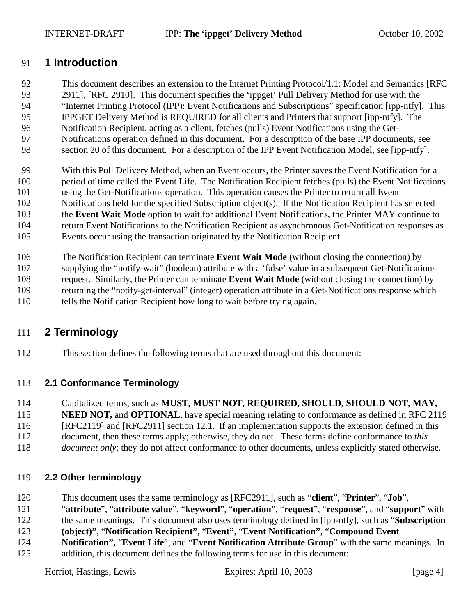### <span id="page-3-0"></span>91 **1 Introduction**

- 92 This document describes an extension to the Internet Printing Protocol/1.1: Model and Semantics [RFC 93 2911], [RFC 2910]. This document specifies the 'ippget' Pull Delivery Method for use with the 94 "Internet Printing Protocol (IPP): Event Notifications and Subscriptions" specification [ipp-ntfy]. This 95 IPPGET Delivery Method is REQUIRED for all clients and Printers that support [ipp-ntfy]. The 96 Notification Recipient, acting as a client, fetches (pulls) Event Notifications using the Get-97 Notifications operation defined in this document. For a description of the base IPP documents, see
- 98 section [20](#page-25-0) of this document. For a description of the IPP Event Notification Model, see [ipp-ntfy].
- 99 With this Pull Delivery Method, when an Event occurs, the Printer saves the Event Notification for a
- 100 period of time called the Event Life. The Notification Recipient fetches (pulls) the Event Notifications
- 101 using the Get-Notifications operation. This operation causes the Printer to return all Event
- 102 Notifications held for the specified Subscription object(s). If the Notification Recipient has selected
- 103 the **Event Wait Mode** option to wait for additional Event Notifications, the Printer MAY continue to
- 104 return Event Notifications to the Notification Recipient as asynchronous Get-Notification responses as
- 105 Events occur using the transaction originated by the Notification Recipient.
- 106 The Notification Recipient can terminate **Event Wait Mode** (without closing the connection) by
- 107 supplying the "notify-wait" (boolean) attribute with a 'false' value in a subsequent Get-Notifications 108 request. Similarly, the Printer can terminate **Event Wait Mode** (without closing the connection) by
- 109 returning the "notify-get-interval" (integer) operation attribute in a Get-Notifications response which
- 110 tells the Notification Recipient how long to wait before trying again.

## 111 **2 Terminology**

112 This section defines the following terms that are used throughout this document:

### 113 **2.1 Conformance Terminology**

- 114 Capitalized terms, such as **MUST, MUST NOT, REQUIRED, SHOULD, SHOULD NOT, MAY,**
- 115 **NEED NOT, and OPTIONAL**, have special meaning relating to conformance as defined in RFC 2119
- 116 [RFC2119] and [RFC2911] section 12.1. If an implementation supports the extension defined in this
- 117 document, then these terms apply; otherwise, they do not. These terms define conformance to *this*
- 118 *document only*; they do not affect conformance to other documents, unless explicitly stated otherwise.

### 119 **2.2 Other terminology**

- 120 This document uses the same terminology as [RFC2911], such as "**client**", "**Printer**", "**Job**",
- 121 "**attribute**", "**attribute value**", "**keyword**", "**operation**", "**request**", "**response**", and "**support**" with
- 122 the same meanings. This document also uses terminology defined in [ipp-ntfy], such as "**Subscription**
- 123 **(object)"**, "**Notification Recipient"**, "**Event"**, "**Event Notification"**, "**Compound Event**
- 124 **Notification",** "**Event Life**", and "**Event Notification Attribute Group**" with the same meanings. In
- 125 addition, this document defines the following terms for use in this document: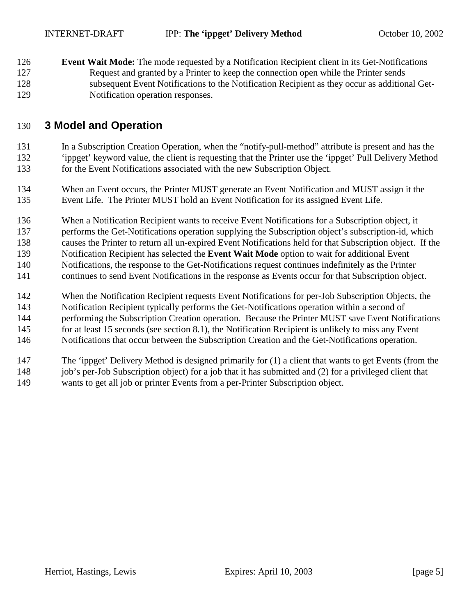<span id="page-4-0"></span>126 **Event Wait Mode:** The mode requested by a Notification Recipient client in its Get-Notifications 127 Request and granted by a Printer to keep the connection open while the Printer sends 128 subsequent Event Notifications to the Notification Recipient as they occur as additional Get-129 Notification operation responses.

## 130 **3 Model and Operation**

131 In a Subscription Creation Operation, when the "notify-pull-method" attribute is present and has the 132 'ippget' keyword value, the client is requesting that the Printer use the 'ippget' Pull Delivery Method 133 for the Event Notifications associated with the new Subscription Object.

134 When an Event occurs, the Printer MUST generate an Event Notification and MUST assign it the 135 Event Life. The Printer MUST hold an Event Notification for its assigned Event Life.

136 When a Notification Recipient wants to receive Event Notifications for a Subscription object, it 137 performs the Get-Notifications operation supplying the Subscription object's subscription-id, which 138 causes the Printer to return all un-expired Event Notifications held for that Subscription object. If the

139 Notification Recipient has selected the **Event Wait Mode** option to wait for additional Event

140 Notifications, the response to the Get-Notifications request continues indefinitely as the Printer

141 continues to send Event Notifications in the response as Events occur for that Subscription object.

142 When the Notification Recipient requests Event Notifications for per-Job Subscription Objects, the

143 Notification Recipient typically performs the Get-Notifications operation within a second of

144 performing the Subscription Creation operation. Because the Printer MUST save Event Notifications

145 for at least 15 seconds (see section [8.1\)](#page-15-0), the Notification Recipient is unlikely to miss any Event

146 Notifications that occur between the Subscription Creation and the Get-Notifications operation.

147 The 'ippget' Delivery Method is designed primarily for (1) a client that wants to get Events (from the 148 job's per-Job Subscription object) for a job that it has submitted and (2) for a privileged client that 149 wants to get all job or printer Events from a per-Printer Subscription object.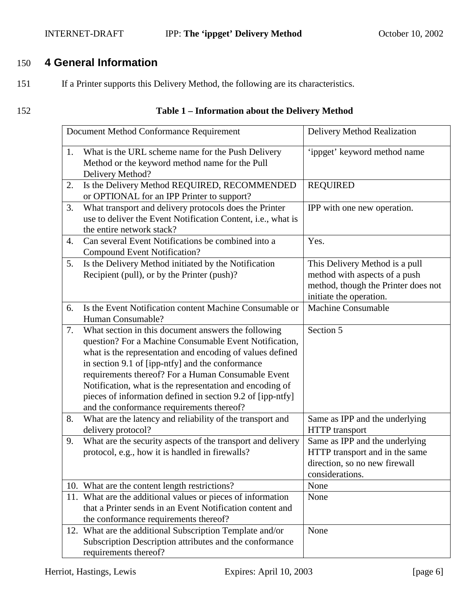### <span id="page-5-0"></span>INTERNET-DRAFT **IPP:** The 'ippget' Delivery Method October 10, 2002

## 150 **4 General Information**

151 If a Printer supports this Delivery Method, the following are its characteristics.

### 152 **Table 1 – Information about the Delivery Method**

|    | Document Method Conformance Requirement                                                                                                                                                                                                                                                                                                                                                                                                                     | Delivery Method Realization                                                                                                       |
|----|-------------------------------------------------------------------------------------------------------------------------------------------------------------------------------------------------------------------------------------------------------------------------------------------------------------------------------------------------------------------------------------------------------------------------------------------------------------|-----------------------------------------------------------------------------------------------------------------------------------|
| 1. | What is the URL scheme name for the Push Delivery<br>Method or the keyword method name for the Pull<br>Delivery Method?                                                                                                                                                                                                                                                                                                                                     | 'ippget' keyword method name                                                                                                      |
| 2. | Is the Delivery Method REQUIRED, RECOMMENDED<br>or OPTIONAL for an IPP Printer to support?                                                                                                                                                                                                                                                                                                                                                                  | <b>REQUIRED</b>                                                                                                                   |
| 3. | What transport and delivery protocols does the Printer<br>use to deliver the Event Notification Content, i.e., what is<br>the entire network stack?                                                                                                                                                                                                                                                                                                         | IPP with one new operation.                                                                                                       |
| 4. | Can several Event Notifications be combined into a<br><b>Compound Event Notification?</b>                                                                                                                                                                                                                                                                                                                                                                   | Yes.                                                                                                                              |
| 5. | Is the Delivery Method initiated by the Notification<br>Recipient (pull), or by the Printer (push)?                                                                                                                                                                                                                                                                                                                                                         | This Delivery Method is a pull<br>method with aspects of a push<br>method, though the Printer does not<br>initiate the operation. |
| 6. | Is the Event Notification content Machine Consumable or<br>Human Consumable?                                                                                                                                                                                                                                                                                                                                                                                | Machine Consumable                                                                                                                |
| 7. | What section in this document answers the following<br>question? For a Machine Consumable Event Notification,<br>what is the representation and encoding of values defined<br>in section 9.1 of [ipp-ntfy] and the conformance<br>requirements thereof? For a Human Consumable Event<br>Notification, what is the representation and encoding of<br>pieces of information defined in section 9.2 of [ipp-ntfy]<br>and the conformance requirements thereof? | Section 5                                                                                                                         |
| 8. | What are the latency and reliability of the transport and<br>delivery protocol?                                                                                                                                                                                                                                                                                                                                                                             | Same as IPP and the underlying<br><b>HTTP</b> transport                                                                           |
| 9. | What are the security aspects of the transport and delivery<br>protocol, e.g., how it is handled in firewalls?                                                                                                                                                                                                                                                                                                                                              | Same as IPP and the underlying<br>HTTP transport and in the same<br>direction, so no new firewall<br>considerations.              |
|    | 10. What are the content length restrictions?                                                                                                                                                                                                                                                                                                                                                                                                               | None                                                                                                                              |
|    | 11. What are the additional values or pieces of information<br>that a Printer sends in an Event Notification content and<br>the conformance requirements thereof?                                                                                                                                                                                                                                                                                           | None                                                                                                                              |
|    | 12. What are the additional Subscription Template and/or<br>Subscription Description attributes and the conformance<br>requirements thereof?                                                                                                                                                                                                                                                                                                                | None                                                                                                                              |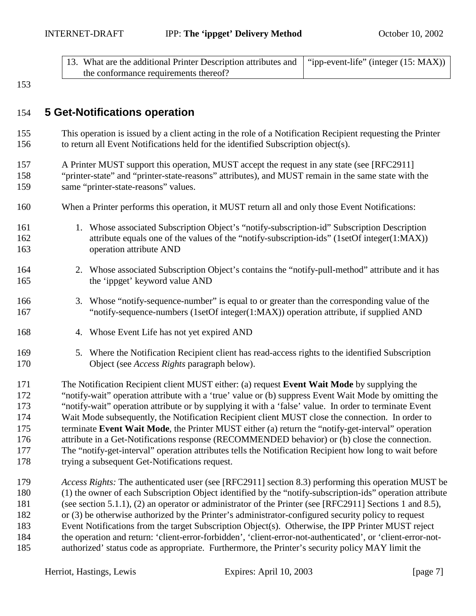| 13. What are the additional Printer Description attributes and   "ipp-event-life" (integer (15: MAX)) |  |
|-------------------------------------------------------------------------------------------------------|--|
| the conformance requirements thereof?                                                                 |  |

<span id="page-6-0"></span>153

## 154 **5 Get-Notifications operation**

155 This operation is issued by a client acting in the role of a Notification Recipient requesting the Printer 156 to return all Event Notifications held for the identified Subscription object(s).

157 A Printer MUST support this operation, MUST accept the request in any state (see [RFC2911] 158 "printer-state" and "printer-state-reasons" attributes), and MUST remain in the same state with the 159 same "printer-state-reasons" values.

- 160 When a Printer performs this operation, it MUST return all and only those Event Notifications:
- 161 1. Whose associated Subscription Object's "notify-subscription-id" Subscription Description 162 attribute equals one of the values of the "notify-subscription-ids" (1setOf integer(1:MAX)) 163 operation attribute AND
- 164 2. Whose associated Subscription Object's contains the "notify-pull-method" attribute and it has 165 the 'ippget' keyword value AND
- 166 3. Whose "notify-sequence-number" is equal to or greater than the corresponding value of the 167 "notify-sequence-numbers (1setOf integer(1:MAX)) operation attribute, if supplied AND
- 168 4. Whose Event Life has not yet expired AND
- 169 5. Where the Notification Recipient client has read-access rights to the identified Subscription 170 Object (see *Access Rights* paragraph below).

171 The Notification Recipient client MUST either: (a) request **Event Wait Mode** by supplying the 172 "notify-wait" operation attribute with a 'true' value or (b) suppress Event Wait Mode by omitting the 173 "notify-wait" operation attribute or by supplying it with a 'false' value. In order to terminate Event 174 Wait Mode subsequently, the Notification Recipient client MUST close the connection. In order to 175 terminate **Event Wait Mode**, the Printer MUST either (a) return the "notify-get-interval" operation 176 attribute in a Get-Notifications response (RECOMMENDED behavior) or (b) close the connection. 177 The "notify-get-interval" operation attributes tells the Notification Recipient how long to wait before 178 trying a subsequent Get-Notifications request.

179 *Access Rights:* The authenticated user (see [RFC2911] section 8.3) performing this operation MUST be 180 (1) the owner of each Subscription Object identified by the "notify-subscription-ids" operation attribute 181 (see section [5.1.1\)](#page-7-0), (2) an operator or administrator of the Printer (see [RFC2911] Sections 1 and 8.5), 182 or (3) be otherwise authorized by the Printer's administrator-configured security policy to request 183 Event Notifications from the target Subscription Object(s). Otherwise, the IPP Printer MUST reject 184 the operation and return: 'client-error-forbidden', 'client-error-not-authenticated', or 'client-error-not-185 authorized' status code as appropriate. Furthermore, the Printer's security policy MAY limit the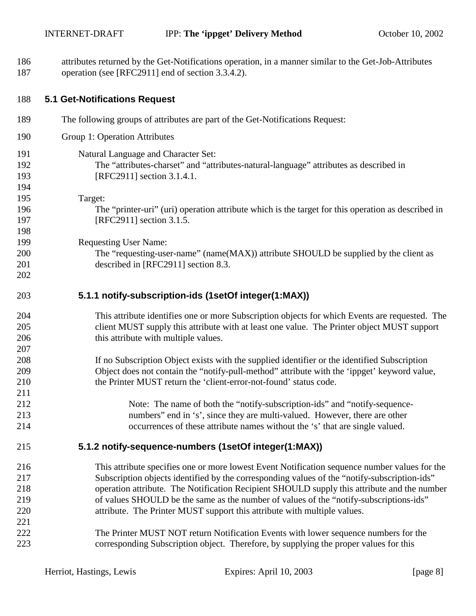<span id="page-7-0"></span>186 attributes returned by the Get-Notifications operation, in a manner similar to the Get-Job-Attributes 187 operation (see [RFC2911] end of section 3.3.4.2).

| 188 | <b>5.1 Get-Notifications Request</b>                                                               |
|-----|----------------------------------------------------------------------------------------------------|
| 189 | The following groups of attributes are part of the Get-Notifications Request:                      |
| 190 | Group 1: Operation Attributes                                                                      |
| 191 | Natural Language and Character Set:                                                                |
| 192 | The "attributes-charset" and "attributes-natural-language" attributes as described in              |
| 193 | [RFC2911] section 3.1.4.1.                                                                         |
| 194 |                                                                                                    |
| 195 | Target:                                                                                            |
| 196 | The "printer-uri" (uri) operation attribute which is the target for this operation as described in |
| 197 | [RFC2911] section 3.1.5.                                                                           |
| 198 |                                                                                                    |
| 199 | <b>Requesting User Name:</b>                                                                       |
| 200 | The "requesting-user-name" (name(MAX)) attribute SHOULD be supplied by the client as               |
| 201 | described in [RFC2911] section 8.3.                                                                |
| 202 |                                                                                                    |
| 203 | 5.1.1 notify-subscription-ids (1setOf integer(1:MAX))                                              |
| 204 | This attribute identifies one or more Subscription objects for which Events are requested. The     |
| 205 | client MUST supply this attribute with at least one value. The Printer object MUST support         |
| 206 | this attribute with multiple values.                                                               |
| 207 |                                                                                                    |
| 208 | If no Subscription Object exists with the supplied identifier or the identified Subscription       |
| 209 | Object does not contain the "notify-pull-method" attribute with the 'ippget' keyword value,        |
| 210 | the Printer MUST return the 'client-error-not-found' status code.                                  |
| 211 |                                                                                                    |
| 212 | Note: The name of both the "notify-subscription-ids" and "notify-sequence-                         |
| 213 | numbers" end in 's', since they are multi-valued. However, there are other                         |
| 214 | occurrences of these attribute names without the 's' that are single valued.                       |
| 215 | 5.1.2 notify-sequence-numbers (1setOf integer(1:MAX))                                              |
| 216 | This attribute specifies one or more lowest Event Notification sequence number values for the      |
| 217 | Subscription objects identified by the corresponding values of the "notify-subscription-ids"       |
| 218 | operation attribute. The Notification Recipient SHOULD supply this attribute and the number        |
| 219 | of values SHOULD be the same as the number of values of the "notify-subscriptions-ids"             |
| 220 | attribute. The Printer MUST support this attribute with multiple values.                           |
| 221 |                                                                                                    |
| 222 | The Printer MUST NOT return Notification Events with lower sequence numbers for the                |
| 223 | corresponding Subscription object. Therefore, by supplying the proper values for this              |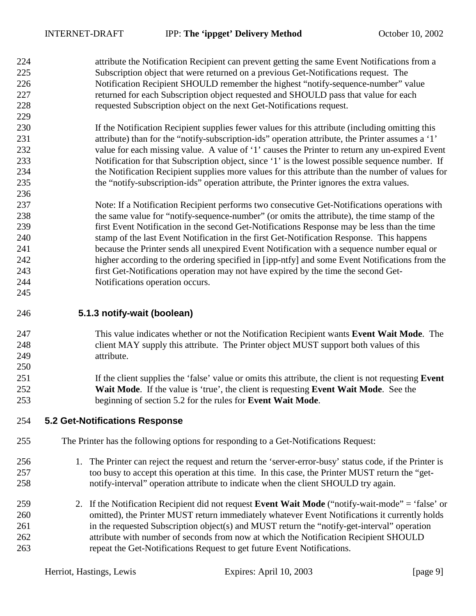<span id="page-8-0"></span>224 attribute the Notification Recipient can prevent getting the same Event Notifications from a 225 Subscription object that were returned on a previous Get-Notifications request. The 226 Notification Recipient SHOULD remember the highest "notify-sequence-number" value 227 returned for each Subscription object requested and SHOULD pass that value for each 228 requested Subscription object on the next Get-Notifications request. 229

- 230 If the Notification Recipient supplies fewer values for this attribute (including omitting this 231 attribute) than for the "notify-subscription-ids" operation attribute, the Printer assumes a '1' 232 value for each missing value. A value of '1' causes the Printer to return any un-expired Event 233 Notification for that Subscription object, since '1' is the lowest possible sequence number. If 234 the Notification Recipient supplies more values for this attribute than the number of values for 235 the "notify-subscription-ids" operation attribute, the Printer ignores the extra values.
- 237 Note: If a Notification Recipient performs two consecutive Get-Notifications operations with 238 the same value for "notify-sequence-number" (or omits the attribute), the time stamp of the 239 first Event Notification in the second Get-Notifications Response may be less than the time 240 stamp of the last Event Notification in the first Get-Notification Response. This happens 241 because the Printer sends all unexpired Event Notification with a sequence number equal or 242 higher according to the ordering specified in [ipp-ntfy] and some Event Notifications from the 243 first Get-Notifications operation may not have expired by the time the second Get-244 Notifications operation occurs. 245
- 246 **5.1.3 notify-wait (boolean)**

236

250

- 247 This value indicates whether or not the Notification Recipient wants **Event Wait Mode**. The 248 client MAY supply this attribute. The Printer object MUST support both values of this 249 attribute.
- 251 If the client supplies the 'false' value or omits this attribute, the client is not requesting **Event**  252 **Wait Mode**. If the value is 'true', the client is requesting **Event Wait Mode**. See the 253 beginning of section 5.2 for the rules for **Event Wait Mode**.
- 254 **5.2 Get-Notifications Response**
- 255 The Printer has the following options for responding to a Get-Notifications Request:
- 256 1. The Printer can reject the request and return the 'server-error-busy' status code, if the Printer is 257 too busy to accept this operation at this time. In this case, the Printer MUST return the "get-258 notify-interval" operation attribute to indicate when the client SHOULD try again.
- 259 2. If the Notification Recipient did not request **Event Wait Mode** ("notify-wait-mode" = 'false' or 260 omitted), the Printer MUST return immediately whatever Event Notifications it currently holds 261 in the requested Subscription object(s) and MUST return the "notify-get-interval" operation 262 attribute with number of seconds from now at which the Notification Recipient SHOULD 263 repeat the Get-Notifications Request to get future Event Notifications.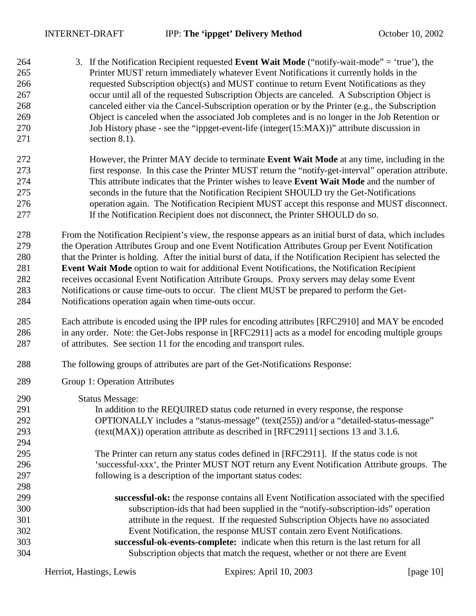| 264<br>265<br>266<br>267<br>268<br>269<br>270<br>271 | 3. If the Notification Recipient requested <b>Event Wait Mode</b> ("notify-wait-mode" = 'true'), the<br>Printer MUST return immediately whatever Event Notifications it currently holds in the<br>requested Subscription object(s) and MUST continue to return Event Notifications as they<br>occur until all of the requested Subscription Objects are canceled. A Subscription Object is<br>canceled either via the Cancel-Subscription operation or by the Printer (e.g., the Subscription<br>Object is canceled when the associated Job completes and is no longer in the Job Retention or<br>Job History phase - see the "ippget-event-life (integer(15:MAX))" attribute discussion in<br>section 8.1). |
|------------------------------------------------------|--------------------------------------------------------------------------------------------------------------------------------------------------------------------------------------------------------------------------------------------------------------------------------------------------------------------------------------------------------------------------------------------------------------------------------------------------------------------------------------------------------------------------------------------------------------------------------------------------------------------------------------------------------------------------------------------------------------|
| 272                                                  | However, the Printer MAY decide to terminate Event Wait Mode at any time, including in the                                                                                                                                                                                                                                                                                                                                                                                                                                                                                                                                                                                                                   |
| 273                                                  | first response. In this case the Printer MUST return the "notify-get-interval" operation attribute.                                                                                                                                                                                                                                                                                                                                                                                                                                                                                                                                                                                                          |
| 274                                                  | This attribute indicates that the Printer wishes to leave Event Wait Mode and the number of                                                                                                                                                                                                                                                                                                                                                                                                                                                                                                                                                                                                                  |
| 275                                                  | seconds in the future that the Notification Recipient SHOULD try the Get-Notifications                                                                                                                                                                                                                                                                                                                                                                                                                                                                                                                                                                                                                       |
| 276                                                  | operation again. The Notification Recipient MUST accept this response and MUST disconnect.                                                                                                                                                                                                                                                                                                                                                                                                                                                                                                                                                                                                                   |
| 277                                                  | If the Notification Recipient does not disconnect, the Printer SHOULD do so.                                                                                                                                                                                                                                                                                                                                                                                                                                                                                                                                                                                                                                 |
| 278                                                  | From the Notification Recipient's view, the response appears as an initial burst of data, which includes                                                                                                                                                                                                                                                                                                                                                                                                                                                                                                                                                                                                     |
| 279                                                  | the Operation Attributes Group and one Event Notification Attributes Group per Event Notification                                                                                                                                                                                                                                                                                                                                                                                                                                                                                                                                                                                                            |
| 280                                                  | that the Printer is holding. After the initial burst of data, if the Notification Recipient has selected the                                                                                                                                                                                                                                                                                                                                                                                                                                                                                                                                                                                                 |
| 281                                                  | Event Wait Mode option to wait for additional Event Notifications, the Notification Recipient                                                                                                                                                                                                                                                                                                                                                                                                                                                                                                                                                                                                                |
| 282                                                  | receives occasional Event Notification Attribute Groups. Proxy servers may delay some Event                                                                                                                                                                                                                                                                                                                                                                                                                                                                                                                                                                                                                  |
| 283                                                  | Notifications or cause time-outs to occur. The client MUST be prepared to perform the Get-                                                                                                                                                                                                                                                                                                                                                                                                                                                                                                                                                                                                                   |
| 284                                                  | Notifications operation again when time-outs occur.                                                                                                                                                                                                                                                                                                                                                                                                                                                                                                                                                                                                                                                          |
| 285                                                  | Each attribute is encoded using the IPP rules for encoding attributes [RFC2910] and MAY be encoded                                                                                                                                                                                                                                                                                                                                                                                                                                                                                                                                                                                                           |
| 286                                                  | in any order. Note: the Get-Jobs response in [RFC2911] acts as a model for encoding multiple groups                                                                                                                                                                                                                                                                                                                                                                                                                                                                                                                                                                                                          |
| 287                                                  | of attributes. See section 11 for the encoding and transport rules.                                                                                                                                                                                                                                                                                                                                                                                                                                                                                                                                                                                                                                          |
| 288                                                  | The following groups of attributes are part of the Get-Notifications Response:                                                                                                                                                                                                                                                                                                                                                                                                                                                                                                                                                                                                                               |
| 289                                                  | Group 1: Operation Attributes                                                                                                                                                                                                                                                                                                                                                                                                                                                                                                                                                                                                                                                                                |
| 290                                                  | <b>Status Message:</b>                                                                                                                                                                                                                                                                                                                                                                                                                                                                                                                                                                                                                                                                                       |
| 291                                                  | In addition to the REQUIRED status code returned in every response, the response                                                                                                                                                                                                                                                                                                                                                                                                                                                                                                                                                                                                                             |
| 292                                                  | OPTIONALLY includes a "status-message" (text(255)) and/or a "detailed-status-message"                                                                                                                                                                                                                                                                                                                                                                                                                                                                                                                                                                                                                        |
| 293                                                  | (text(MAX)) operation attribute as described in [RFC2911] sections 13 and 3.1.6.                                                                                                                                                                                                                                                                                                                                                                                                                                                                                                                                                                                                                             |
| 294                                                  |                                                                                                                                                                                                                                                                                                                                                                                                                                                                                                                                                                                                                                                                                                              |
| 295                                                  | The Printer can return any status codes defined in [RFC2911]. If the status code is not                                                                                                                                                                                                                                                                                                                                                                                                                                                                                                                                                                                                                      |
| 296                                                  | 'successful-xxx', the Printer MUST NOT return any Event Notification Attribute groups. The                                                                                                                                                                                                                                                                                                                                                                                                                                                                                                                                                                                                                   |
| 297                                                  | following is a description of the important status codes:                                                                                                                                                                                                                                                                                                                                                                                                                                                                                                                                                                                                                                                    |
| 298                                                  |                                                                                                                                                                                                                                                                                                                                                                                                                                                                                                                                                                                                                                                                                                              |
| 299                                                  | successful-ok: the response contains all Event Notification associated with the specified                                                                                                                                                                                                                                                                                                                                                                                                                                                                                                                                                                                                                    |
| 300                                                  | subscription-ids that had been supplied in the "notify-subscription-ids" operation                                                                                                                                                                                                                                                                                                                                                                                                                                                                                                                                                                                                                           |
| 301                                                  | attribute in the request. If the requested Subscription Objects have no associated                                                                                                                                                                                                                                                                                                                                                                                                                                                                                                                                                                                                                           |
| 302                                                  | Event Notification, the response MUST contain zero Event Notifications.                                                                                                                                                                                                                                                                                                                                                                                                                                                                                                                                                                                                                                      |
| 303                                                  | successful-ok-events-complete: indicate when this return is the last return for all                                                                                                                                                                                                                                                                                                                                                                                                                                                                                                                                                                                                                          |
| 304                                                  | Subscription objects that match the request, whether or not there are Event                                                                                                                                                                                                                                                                                                                                                                                                                                                                                                                                                                                                                                  |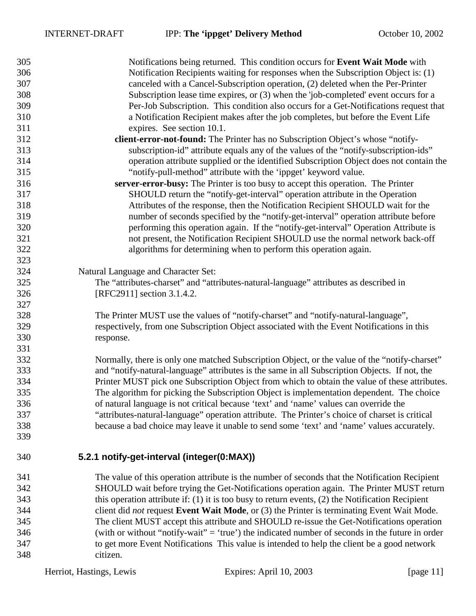<span id="page-10-0"></span>

| 305 | Notifications being returned. This condition occurs for Event Wait Mode with                         |  |  |
|-----|------------------------------------------------------------------------------------------------------|--|--|
| 306 | Notification Recipients waiting for responses when the Subscription Object is: (1)                   |  |  |
| 307 | canceled with a Cancel-Subscription operation, (2) deleted when the Per-Printer                      |  |  |
| 308 | Subscription lease time expires, or (3) when the 'job-completed' event occurs for a                  |  |  |
| 309 | Per-Job Subscription. This condition also occurs for a Get-Notifications request that                |  |  |
| 310 | a Notification Recipient makes after the job completes, but before the Event Life                    |  |  |
| 311 | expires. See section 10.1.                                                                           |  |  |
| 312 | client-error-not-found: The Printer has no Subscription Object's whose "notify-                      |  |  |
| 313 | subscription-id" attribute equals any of the values of the "notify-subscription-ids"                 |  |  |
| 314 | operation attribute supplied or the identified Subscription Object does not contain the              |  |  |
| 315 | "notify-pull-method" attribute with the 'ippget' keyword value.                                      |  |  |
| 316 | server-error-busy: The Printer is too busy to accept this operation. The Printer                     |  |  |
| 317 | SHOULD return the "notify-get-interval" operation attribute in the Operation                         |  |  |
| 318 | Attributes of the response, then the Notification Recipient SHOULD wait for the                      |  |  |
| 319 | number of seconds specified by the "notify-get-interval" operation attribute before                  |  |  |
| 320 | performing this operation again. If the "notify-get-interval" Operation Attribute is                 |  |  |
| 321 | not present, the Notification Recipient SHOULD use the normal network back-off                       |  |  |
| 322 | algorithms for determining when to perform this operation again.                                     |  |  |
| 323 |                                                                                                      |  |  |
| 324 | Natural Language and Character Set:                                                                  |  |  |
| 325 | The "attributes-charset" and "attributes-natural-language" attributes as described in                |  |  |
| 326 | [RFC2911] section 3.1.4.2.                                                                           |  |  |
| 327 |                                                                                                      |  |  |
| 328 | The Printer MUST use the values of "notify-charset" and "notify-natural-language",                   |  |  |
| 329 | respectively, from one Subscription Object associated with the Event Notifications in this           |  |  |
| 330 | response.                                                                                            |  |  |
| 331 |                                                                                                      |  |  |
| 332 | Normally, there is only one matched Subscription Object, or the value of the "notify-charset"        |  |  |
| 333 | and "notify-natural-language" attributes is the same in all Subscription Objects. If not, the        |  |  |
| 334 | Printer MUST pick one Subscription Object from which to obtain the value of these attributes.        |  |  |
| 335 | The algorithm for picking the Subscription Object is implementation dependent. The choice            |  |  |
| 336 | of natural language is not critical because 'text' and 'name' values can override the                |  |  |
| 337 | "attributes-natural-language" operation attribute. The Printer's choice of charset is critical       |  |  |
| 338 | because a bad choice may leave it unable to send some 'text' and 'name' values accurately.           |  |  |
| 339 |                                                                                                      |  |  |
| 340 | 5.2.1 notify-get-interval (integer(0:MAX))                                                           |  |  |
| 341 | The value of this operation attribute is the number of seconds that the Notification Recipient       |  |  |
| 342 | SHOULD wait before trying the Get-Notifications operation again. The Printer MUST return             |  |  |
| 343 | this operation attribute if: $(1)$ it is too busy to return events, $(2)$ the Notification Recipient |  |  |
| 344 |                                                                                                      |  |  |
|     | client did <i>not</i> request Event Wait Mode, or (3) the Printer is terminating Event Wait Mode.    |  |  |
| 345 | The client MUST accept this attribute and SHOULD re-issue the Get-Notifications operation            |  |  |
| 346 | (with or without "notify-wait" = 'true') the indicated number of seconds in the future in order      |  |  |
| 347 | to get more Event Notifications This value is intended to help the client be a good network          |  |  |
| 348 | citizen.                                                                                             |  |  |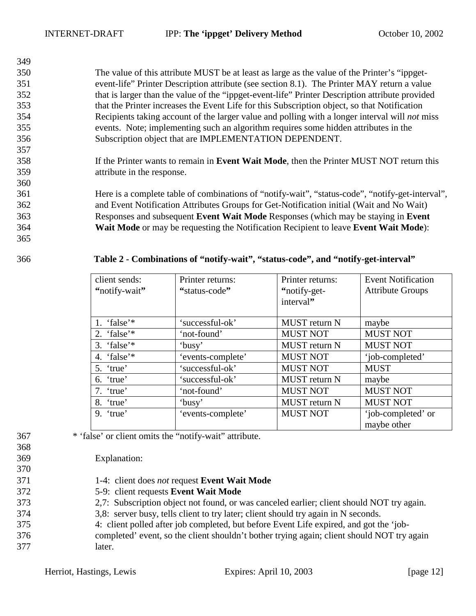350 The value of this attribute MUST be at least as large as the value of the Printer's "ippget-351 event-life" Printer Description attribute (see section [8.1\)](#page-15-0). The Printer MAY return a value 352 that is larger than the value of the "ippget-event-life" Printer Description attribute provided 353 that the Printer increases the Event Life for this Subscription object, so that Notification 354 Recipients taking account of the larger value and polling with a longer interval will *not* miss 355 events. Note; implementing such an algorithm requires some hidden attributes in the 356 Subscription object that are IMPLEMENTATION DEPENDENT.

358 If the Printer wants to remain in **Event Wait Mode**, then the Printer MUST NOT return this 359 attribute in the response.

361 Here is a complete table of combinations of "notify-wait", "status-code", "notify-get-interval", 362 and Event Notification Attributes Groups for Get-Notification initial (Wait and No Wait) 363 Responses and subsequent **Event Wait Mode** Responses (which may be staying in **Event**  364 **Wait Mode** or may be requesting the Notification Recipient to leave **Event Wait Mode**):

365

<span id="page-11-0"></span>349

357

360

### 366 **Table 2 - Combinations of "notify-wait", "status-code", and "notify-get-interval"**

| client sends:<br>"notify-wait" | Printer returns:<br>"status-code" | Printer returns:<br>"notify-get-<br>interval" | <b>Event Notification</b><br><b>Attribute Groups</b> |
|--------------------------------|-----------------------------------|-----------------------------------------------|------------------------------------------------------|
| 1. 'false'*                    | 'successful-ok'                   | <b>MUST</b> return N                          | maybe                                                |
| 2. 'false'*                    | 'not-found'                       | <b>MUST NOT</b>                               | <b>MUST NOT</b>                                      |
| 3. 'false' $*$                 | 'busy'                            | <b>MUST</b> return N                          | <b>MUST NOT</b>                                      |
| 4. 'false'*                    | 'events-complete'                 | <b>MUST NOT</b>                               | 'job-completed'                                      |
| 5. 'true'                      | 'successful-ok'                   | <b>MUST NOT</b>                               | <b>MUST</b>                                          |
| 6. 'true'                      | 'successful-ok'                   | <b>MUST</b> return N                          | maybe                                                |
| 7. 'true'                      | 'not-found'                       | <b>MUST NOT</b>                               | <b>MUST NOT</b>                                      |
| 8. 'true'                      | 'busy'                            | <b>MUST</b> return N                          | <b>MUST NOT</b>                                      |
| $9.$ 'true'                    | 'events-complete'                 | <b>MUST NOT</b>                               | 'job-completed' or<br>maybe other                    |

- 367 \* 'false' or client omits the "notify-wait" attribute.
- 368

370

369 Explanation:

- 371 1-4: client does *not* request **Event Wait Mode**
- 372 5-9: client requests **Event Wait Mode**
- 373 2,7: Subscription object not found, or was canceled earlier; client should NOT try again.
- 374 3,8: server busy, tells client to try later; client should try again in N seconds.
- 375 4: client polled after job completed, but before Event Life expired, and got the 'job-
- 376 completed' event, so the client shouldn't bother trying again; client should NOT try again 377 later.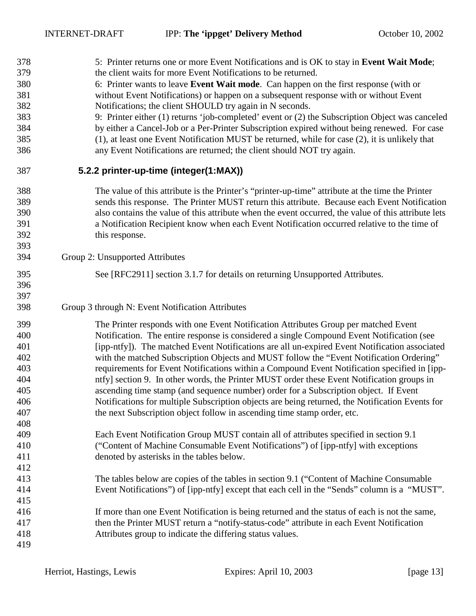<span id="page-12-0"></span>

| 378 | 5: Printer returns one or more Event Notifications and is OK to stay in Event Wait Mode;            |
|-----|-----------------------------------------------------------------------------------------------------|
| 379 | the client waits for more Event Notifications to be returned.                                       |
| 380 | 6: Printer wants to leave Event Wait mode. Can happen on the first response (with or                |
| 381 | without Event Notifications) or happen on a subsequent response with or without Event               |
| 382 | Notifications; the client SHOULD try again in N seconds.                                            |
| 383 | 9: Printer either (1) returns 'job-completed' event or (2) the Subscription Object was canceled     |
| 384 | by either a Cancel-Job or a Per-Printer Subscription expired without being renewed. For case        |
| 385 | (1), at least one Event Notification MUST be returned, while for case (2), it is unlikely that      |
| 386 | any Event Notifications are returned; the client should NOT try again.                              |
| 387 | 5.2.2 printer-up-time (integer(1:MAX))                                                              |
| 388 | The value of this attribute is the Printer's "printer-up-time" attribute at the time the Printer    |
| 389 | sends this response. The Printer MUST return this attribute. Because each Event Notification        |
| 390 | also contains the value of this attribute when the event occurred, the value of this attribute lets |
| 391 | a Notification Recipient know when each Event Notification occurred relative to the time of         |
| 392 | this response.                                                                                      |
| 393 |                                                                                                     |
| 394 | Group 2: Unsupported Attributes                                                                     |
| 395 | See [RFC2911] section 3.1.7 for details on returning Unsupported Attributes.                        |
| 396 |                                                                                                     |
| 397 |                                                                                                     |
| 398 | Group 3 through N: Event Notification Attributes                                                    |
| 399 | The Printer responds with one Event Notification Attributes Group per matched Event                 |
| 400 | Notification. The entire response is considered a single Compound Event Notification (see           |
| 401 | [ipp-ntfy]). The matched Event Notifications are all un-expired Event Notification associated       |
| 402 | with the matched Subscription Objects and MUST follow the "Event Notification Ordering"             |
| 403 | requirements for Event Notifications within a Compound Event Notification specified in [ipp-        |
| 404 | ntfy] section 9. In other words, the Printer MUST order these Event Notification groups in          |
| 405 | ascending time stamp (and sequence number) order for a Subscription object. If Event                |
| 406 | Notifications for multiple Subscription objects are being returned, the Notification Events for     |
| 407 | the next Subscription object follow in ascending time stamp order, etc.                             |
| 408 |                                                                                                     |
| 409 | Each Event Notification Group MUST contain all of attributes specified in section 9.1               |
| 410 | ("Content of Machine Consumable Event Notifications") of [ipp-ntfy] with exceptions                 |
| 411 | denoted by asterisks in the tables below.                                                           |
| 412 |                                                                                                     |
| 413 | The tables below are copies of the tables in section 9.1 ("Content of Machine Consumable"           |
| 414 | Event Notifications") of [ipp-ntfy] except that each cell in the "Sends" column is a "MUST".        |
| 415 |                                                                                                     |
| 416 | If more than one Event Notification is being returned and the status of each is not the same,       |
| 417 | then the Printer MUST return a "notify-status-code" attribute in each Event Notification            |
| 418 | Attributes group to indicate the differing status values.                                           |
| 419 |                                                                                                     |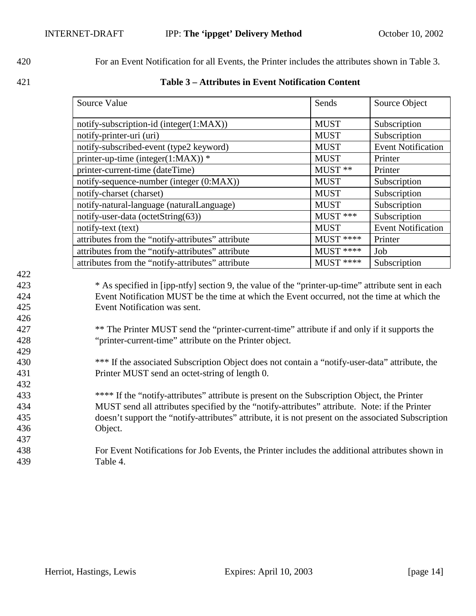<span id="page-13-0"></span>420 For an Event Notification for all Events, the Printer includes the attributes shown in Table 3.

422

426

429

421 **Table 3 – Attributes in Event Notification Content** 

| Source Value                                      | Sends       | Source Object             |
|---------------------------------------------------|-------------|---------------------------|
| notify-subscription-id (integer(1:MAX))           | <b>MUST</b> | Subscription              |
| notify-printer-uri (uri)                          | <b>MUST</b> | Subscription              |
| notify-subscribed-event (type2 keyword)           | <b>MUST</b> | <b>Event Notification</b> |
| printer-up-time (integer(1:MAX)) $*$              | <b>MUST</b> | Printer                   |
| printer-current-time (dateTime)                   | MUST **     | Printer                   |
| notify-sequence-number (integer (0:MAX))          | <b>MUST</b> | Subscription              |
| notify-charset (charset)                          | <b>MUST</b> | Subscription              |
| notify-natural-language (naturalLanguage)         | <b>MUST</b> | Subscription              |
| notify-user-data (octetString(63))                | MUST ***    | Subscription              |
| notify-text (text)                                | <b>MUST</b> | <b>Event Notification</b> |
| attributes from the "notify-attributes" attribute | $MUST$ **** | Printer                   |
| attributes from the "notify-attributes" attribute | $MUST$ **** | Job                       |
| attributes from the "notify-attributes" attribute | $MUST$ **** | Subscription              |

423 \* As specified in [ipp-ntfy] section 9, the value of the "printer-up-time" attribute sent in each 424 Event Notification MUST be the time at which the Event occurred, not the time at which the 425 Event Notification was sent.

427 \*\* The Printer MUST send the "printer-current-time" attribute if and only if it supports the 428 "printer-current-time" attribute on the Printer object.

430 \*\*\* If the associated Subscription Object does not contain a "notify-user-data" attribute, the 431 Printer MUST send an octet-string of length 0. 432

433 \*\*\*\* If the "notify-attributes" attribute is present on the Subscription Object, the Printer 434 MUST send all attributes specified by the "notify-attributes" attribute. Note: if the Printer 435 doesn't support the "notify-attributes" attribute, it is not present on the associated Subscription 436 Object. 437

438 For Event Notifications for Job Events, the Printer includes the additional attributes shown in 439 [Table 4.](#page-14-0)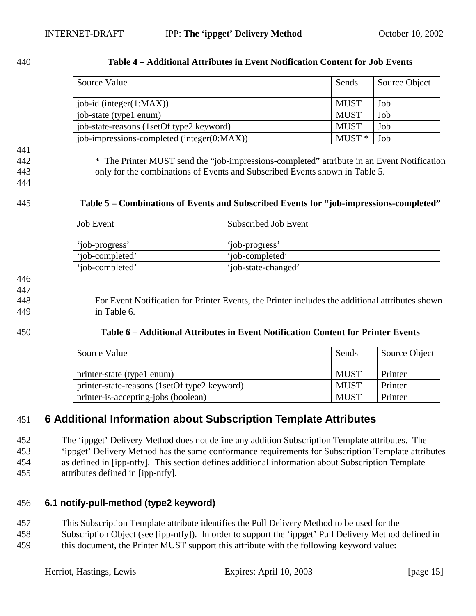| ۰, |  |
|----|--|
|----|--|

<span id="page-14-0"></span>

| 440 | Table 4 – Additional Attributes in Event Notification Content for Job Events |
|-----|------------------------------------------------------------------------------|
|     |                                                                              |

| Source Value                               | Sends       | Source Object |
|--------------------------------------------|-------------|---------------|
| job-id (integer $(1:MAX)$ )                | MUST        | Job           |
| job-state (type1 enum)                     | MUST        | Job           |
| job-state-reasons (1setOf type2 keyword)   | <b>MUST</b> | Job           |
| job-impressions-completed (integer(0:MAX)) | $MUST*$     | Job           |

441 442 \* The Printer MUST send the "job-impressions-completed" attribute in an Event Notification

443 only for the combinations of Events and Subscribed Events shown in Table 5.

444

### 445 **Table 5 – Combinations of Events and Subscribed Events for "job-impressions-completed"**

| <b>Job</b> Event | Subscribed Job Event |
|------------------|----------------------|
| 'job-progress'   | 'job-progress'       |
| 'iob-completed'  | 'iob-completed'      |
| 'iob-completed'  | 'job-state-changed'  |

### 446

447

448 For Event Notification for Printer Events, the Printer includes the additional attributes shown 449 in Table 6.

### 450 **Table 6 – Additional Attributes in Event Notification Content for Printer Events**

| Source Value                                 | Sends       | Source Object |
|----------------------------------------------|-------------|---------------|
| printer-state (type1 enum)                   | <b>MUST</b> | Printer       |
| printer-state-reasons (1setOf type2 keyword) | <b>MUST</b> | Printer       |
| printer-is-accepting-jobs (boolean)          | <b>MUST</b> | Printer       |

## 451 **6 Additional Information about Subscription Template Attributes**

452 The 'ippget' Delivery Method does not define any addition Subscription Template attributes. The 453 'ippget' Delivery Method has the same conformance requirements for Subscription Template attributes 454 as defined in [ipp-ntfy]. This section defines additional information about Subscription Template

455 attributes defined in [ipp-ntfy].

## 456 **6.1 notify-pull-method (type2 keyword)**

457 This Subscription Template attribute identifies the Pull Delivery Method to be used for the

458 Subscription Object (see [ipp-ntfy]). In order to support the 'ippget' Pull Delivery Method defined in 459 this document, the Printer MUST support this attribute with the following keyword value: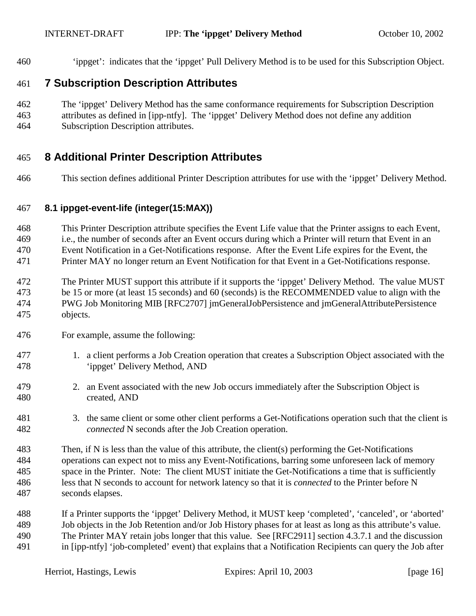<span id="page-15-0"></span>460 'ippget': indicates that the 'ippget' Pull Delivery Method is to be used for this Subscription Object.

### 461 **7 Subscription Description Attributes**

- 462 The 'ippget' Delivery Method has the same conformance requirements for Subscription Description
- 463 attributes as defined in [ipp-ntfy]. The 'ippget' Delivery Method does not define any addition 464 Subscription Description attributes.

### 465 **8 Additional Printer Description Attributes**

466 This section defines additional Printer Description attributes for use with the 'ippget' Delivery Method.

### 467 **8.1 ippget-event-life (integer(15:MAX))**

468 This Printer Description attribute specifies the Event Life value that the Printer assigns to each Event, 469 i.e., the number of seconds after an Event occurs during which a Printer will return that Event in an 470 Event Notification in a Get-Notifications response. After the Event Life expires for the Event, the 471 Printer MAY no longer return an Event Notification for that Event in a Get-Notifications response.

- 472 The Printer MUST support this attribute if it supports the 'ippget' Delivery Method. The value MUST 473 be 15 or more (at least 15 seconds) and 60 (seconds) is the RECOMMENDED value to align with the 474 PWG Job Monitoring MIB [RFC2707] jmGeneralJobPersistence and jmGeneralAttributePersistence 475 objects.
- 476 For example, assume the following:
- 477 1. a client performs a Job Creation operation that creates a Subscription Object associated with the 478 'ippget' Delivery Method, AND
- 479 2. an Event associated with the new Job occurs immediately after the Subscription Object is 480 created, AND
- 481 3. the same client or some other client performs a Get-Notifications operation such that the client is 482 *connected* N seconds after the Job Creation operation.
- 483 Then, if N is less than the value of this attribute, the client(s) performing the Get-Notifications 484 operations can expect not to miss any Event-Notifications, barring some unforeseen lack of memory 485 space in the Printer. Note: The client MUST initiate the Get-Notifications a time that is sufficiently 486 less that N seconds to account for network latency so that it is *connected* to the Printer before N 487 seconds elapses.
- 488 If a Printer supports the 'ippget' Delivery Method, it MUST keep 'completed', 'canceled', or 'aborted' 489 Job objects in the Job Retention and/or Job History phases for at least as long as this attribute's value. 490 The Printer MAY retain jobs longer that this value. See [RFC2911] section 4.3.7.1 and the discussion 491 in [ipp-ntfy] 'job-completed' event) that explains that a Notification Recipients can query the Job after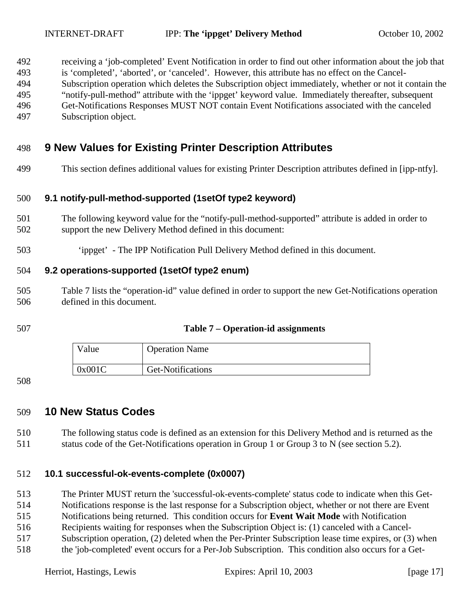<span id="page-16-0"></span>492 receiving a 'job-completed' Event Notification in order to find out other information about the job that 493 is 'completed', 'aborted', or 'canceled'. However, this attribute has no effect on the Cancel-494 Subscription operation which deletes the Subscription object immediately, whether or not it contain the 495 "notify-pull-method" attribute with the 'ippget' keyword value. Immediately thereafter, subsequent 496 Get-Notifications Responses MUST NOT contain Event Notifications associated with the canceled 497 Subscription object.

- 498 **9 New Values for Existing Printer Description Attributes**
- 499 This section defines additional values for existing Printer Description attributes defined in [ipp-ntfy].

### 500 **9.1 notify-pull-method-supported (1setOf type2 keyword)**

- 501 The following keyword value for the "notify-pull-method-supported" attribute is added in order to 502 support the new Delivery Method defined in this document:
- 503 'ippget' The IPP Notification Pull Delivery Method defined in this document.

### 504 **9.2 operations-supported (1setOf type2 enum)**

- 505 Table 7 lists the "operation-id" value defined in order to support the new Get-Notifications operation 506 defined in this document.
- 

### 507 **Table 7 – Operation-id assignments**

| Value  | <b>Operation Name</b> |
|--------|-----------------------|
| 0x001C | Get-Notifications     |

### 508

### 509 **10 New Status Codes**

510 The following status code is defined as an extension for this Delivery Method and is returned as the 511 status code of the Get-Notifications operation in Group 1 or Group 3 to N (see section [5.2\)](#page-8-0).

### 512 **10.1 successful-ok-events-complete (0x0007)**

513 The Printer MUST return the 'successful-ok-events-complete' status code to indicate when this Get-

514 Notifications response is the last response for a Subscription object, whether or not there are Event

515 Notifications being returned. This condition occurs for **Event Wait Mode** with Notification

516 Recipients waiting for responses when the Subscription Object is: (1) canceled with a Cancel-

- 517 Subscription operation, (2) deleted when the Per-Printer Subscription lease time expires, or (3) when
- 518 the 'job-completed' event occurs for a Per-Job Subscription. This condition also occurs for a Get-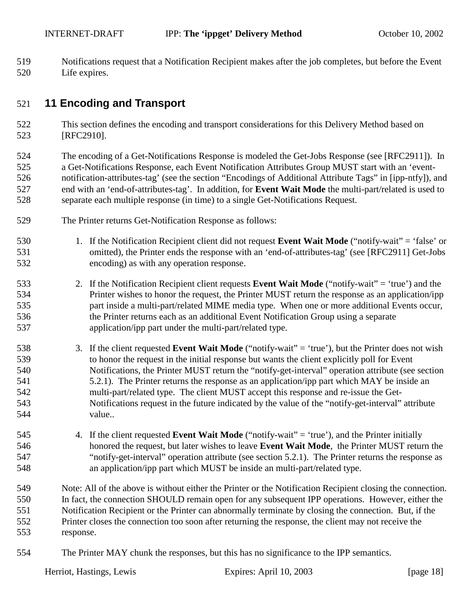<span id="page-17-0"></span>519 Notifications request that a Notification Recipient makes after the job completes, but before the Event 520 Life expires.

## 521 **11 Encoding and Transport**

522 This section defines the encoding and transport considerations for this Delivery Method based on 523 [RFC2910].

524 The encoding of a Get-Notifications Response is modeled the Get-Jobs Response (see [RFC2911]). In 525 a Get-Notifications Response, each Event Notification Attributes Group MUST start with an 'event-526 notification-attributes-tag' (see the section "Encodings of Additional Attribute Tags" in [ipp-ntfy]), and 527 end with an 'end-of-attributes-tag'. In addition, for **Event Wait Mode** the multi-part/related is used to 528 separate each multiple response (in time) to a single Get-Notifications Request.

- 529 The Printer returns Get-Notification Response as follows:
- 530 1. If the Notification Recipient client did not request **Event Wait Mode** ("notify-wait" = 'false' or 531 omitted), the Printer ends the response with an 'end-of-attributes-tag' (see [RFC2911] Get-Jobs 532 encoding) as with any operation response.
- 533 2. If the Notification Recipient client requests **Event Wait Mode** ("notify-wait" = 'true') and the 534 Printer wishes to honor the request, the Printer MUST return the response as an application/ipp 535 part inside a multi-part/related MIME media type. When one or more additional Events occur, 536 the Printer returns each as an additional Event Notification Group using a separate 537 application/ipp part under the multi-part/related type.
- 538 3. If the client requested **Event Wait Mode** ("notify-wait" = 'true'), but the Printer does not wish 539 to honor the request in the initial response but wants the client explicitly poll for Event 540 Notifications, the Printer MUST return the "notify-get-interval" operation attribute (see section 541 [5.2.1\)](#page-10-0). The Printer returns the response as an application/ipp part which MAY be inside an 542 multi-part/related type. The client MUST accept this response and re-issue the Get-543 Notifications request in the future indicated by the value of the "notify-get-interval" attribute 544 value..
- 545 4. If the client requested **Event Wait Mode** ("notify-wait" = 'true'), and the Printer initially 546 honored the request, but later wishes to leave **Event Wait Mode**, the Printer MUST return the 547 "notify-get-interval" operation attribute (see section [5.2.1\)](#page-10-0). The Printer returns the response as 548 an application/ipp part which MUST be inside an multi-part/related type.

549 Note: All of the above is without either the Printer or the Notification Recipient closing the connection. 550 In fact, the connection SHOULD remain open for any subsequent IPP operations. However, either the 551 Notification Recipient or the Printer can abnormally terminate by closing the connection. But, if the 552 Printer closes the connection too soon after returning the response, the client may not receive the 553 response.

554 The Printer MAY chunk the responses, but this has no significance to the IPP semantics.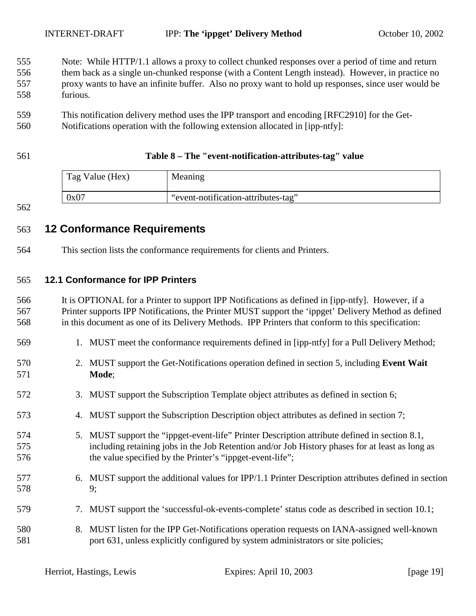- <span id="page-18-0"></span>555 Note: While HTTP/1.1 allows a proxy to collect chunked responses over a period of time and return 556 them back as a single un-chunked response (with a Content Length instead). However, in practice no 557 proxy wants to have an infinite buffer. Also no proxy want to hold up responses, since user would be 558 furious.
- 559 This notification delivery method uses the IPP transport and encoding [RFC2910] for the Get-
- 560 Notifications operation with the following extension allocated in [ipp-ntfy]:

### 561 **Table 8 – The "event-notification-attributes-tag" value**

| Tag Value (Hex) | Meaning                             |
|-----------------|-------------------------------------|
| 0x07            | "event-notification-attributes-tag" |

### 562

### 563 **12 Conformance Requirements**

564 This section lists the conformance requirements for clients and Printers.

### 565 **12.1 Conformance for IPP Printers**

566 It is OPTIONAL for a Printer to support IPP Notifications as defined in [ipp-ntfy]. However, if a 567 Printer supports IPP Notifications, the Printer MUST support the 'ippget' Delivery Method as defined 568 in this document as one of its Delivery Methods. IPP Printers that conform to this specification:

- 569 1. MUST meet the conformance requirements defined in [ipp-ntfy] for a Pull Delivery Method;
- 570 2. MUST support the Get-Notifications operation defined in section [5,](#page-6-0) including **Event Wait**  571 **Mode**;
- 572 3. MUST support the Subscription Template object attributes as defined in section [6;](#page-14-0)
- 573 4. MUST support the Subscription Description object attributes as defined in section [7;](#page-15-0)
- 574 5. MUST support the "ippget-event-life" Printer Description attribute defined in section [8.1,](#page-15-0) 575 including retaining jobs in the Job Retention and/or Job History phases for at least as long as 576 the value specified by the Printer's "ippget-event-life";
- 577 6. MUST support the additional values for IPP/1.1 Printer Description attributes defined in section 578 [9;](#page-16-0)
- 579 7. MUST support the 'successful-ok-events-complete' status code as described in section [10.1;](#page-16-0)
- 580 8. MUST listen for the IPP Get-Notifications operation requests on IANA-assigned well-known 581 port 631, unless explicitly configured by system administrators or site policies;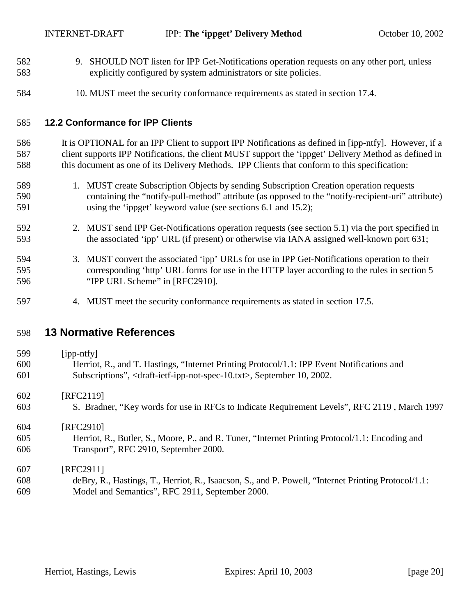- <span id="page-19-0"></span>582 9. SHOULD NOT listen for IPP Get-Notifications operation requests on any other port, unless 583 explicitly configured by system administrators or site policies.
- 584 10. MUST meet the security conformance requirements as stated in section [17.4.](#page-23-0)

### 585 **12.2 Conformance for IPP Clients**

586 It is OPTIONAL for an IPP Client to support IPP Notifications as defined in [ipp-ntfy]. However, if a 587 client supports IPP Notifications, the client MUST support the 'ippget' Delivery Method as defined in 588 this document as one of its Delivery Methods. IPP Clients that conform to this specification:

- 589 1. MUST create Subscription Objects by sending Subscription Creation operation requests 590 containing the "notify-pull-method" attribute (as opposed to the "notify-recipient-uri" attribute) 591 using the 'ippget' keyword value (see sections [6.1](#page-14-0) and [15.2\)](#page-21-0);
- 592 2. MUST send IPP Get-Notifications operation requests (see section [5.1\)](#page-7-0) via the port specified in 593 the associated 'ipp' URL (if present) or otherwise via IANA assigned well-known port 631;
- 594 3. MUST convert the associated 'ipp' URLs for use in IPP Get-Notifications operation to their 595 corresponding 'http' URL forms for use in the HTTP layer according to the rules in section 5 596 "IPP URL Scheme" in [RFC2910].
- 597 4. MUST meet the security conformance requirements as stated in section [17.5.](#page-23-0)

### 598 **13 Normative References**

| 599 | $[$ ipp-ntfy $]$                                                                                       |
|-----|--------------------------------------------------------------------------------------------------------|
| 600 | Herriot, R., and T. Hastings, "Internet Printing Protocol/1.1: IPP Event Notifications and             |
| 601 | Subscriptions", <draft-ietf-ipp-not-spec-10.txt>, September 10, 2002.</draft-ietf-ipp-not-spec-10.txt> |
| 602 | [RFC2119]                                                                                              |
| 603 | S. Bradner, "Key words for use in RFCs to Indicate Requirement Levels", RFC 2119, March 1997           |
| 604 | [RFC2910]                                                                                              |
| 605 | Herriot, R., Butler, S., Moore, P., and R. Tuner, "Internet Printing Protocol/1.1: Encoding and        |
| 606 | Transport", RFC 2910, September 2000.                                                                  |
| 607 | [RFC2911]                                                                                              |
| 608 | deBry, R., Hastings, T., Herriot, R., Isaacson, S., and P. Powell, "Internet Printing Protocol/1.1:    |
| 609 | Model and Semantics", RFC 2911, September 2000.                                                        |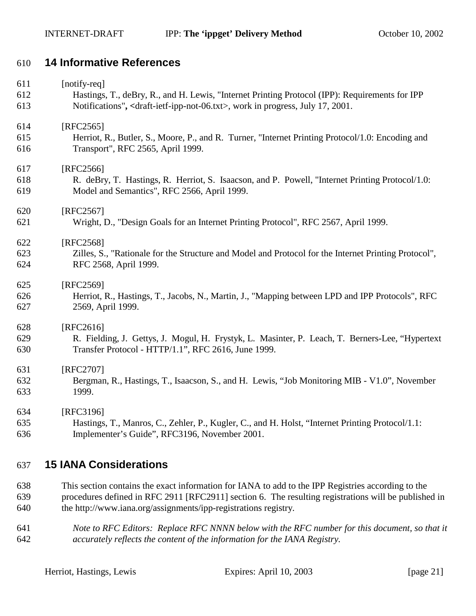### <span id="page-20-0"></span>610 **14 Informative References**

| 611 | [notify-req]                                                                                              |
|-----|-----------------------------------------------------------------------------------------------------------|
| 612 | Hastings, T., deBry, R., and H. Lewis, "Internet Printing Protocol (IPP): Requirements for IPP            |
| 613 | Notifications", <draft-ietf-ipp-not-06.txt>, work in progress, July 17, 2001.</draft-ietf-ipp-not-06.txt> |
| 614 | [RFC2565]                                                                                                 |
| 615 | Herriot, R., Butler, S., Moore, P., and R. Turner, "Internet Printing Protocol/1.0: Encoding and          |
| 616 | Transport", RFC 2565, April 1999.                                                                         |
| 617 | [RFC2566]                                                                                                 |
| 618 | R. deBry, T. Hastings, R. Herriot, S. Isaacson, and P. Powell, "Internet Printing Protocol/1.0:           |
| 619 | Model and Semantics", RFC 2566, April 1999.                                                               |
| 620 | [RFC2567]                                                                                                 |
| 621 | Wright, D., "Design Goals for an Internet Printing Protocol", RFC 2567, April 1999.                       |
| 622 | [RFC2568]                                                                                                 |
| 623 | Zilles, S., "Rationale for the Structure and Model and Protocol for the Internet Printing Protocol",      |
| 624 | RFC 2568, April 1999.                                                                                     |
| 625 | [RFC2569]                                                                                                 |
| 626 | Herriot, R., Hastings, T., Jacobs, N., Martin, J., "Mapping between LPD and IPP Protocols", RFC           |
| 627 | 2569, April 1999.                                                                                         |
| 628 | [RFC2616]                                                                                                 |
| 629 | R. Fielding, J. Gettys, J. Mogul, H. Frystyk, L. Masinter, P. Leach, T. Berners-Lee, "Hypertext"          |
| 630 | Transfer Protocol - HTTP/1.1", RFC 2616, June 1999.                                                       |
| 631 | [RFC2707]                                                                                                 |
| 632 | Bergman, R., Hastings, T., Isaacson, S., and H. Lewis, "Job Monitoring MIB - V1.0", November              |
| 633 | 1999.                                                                                                     |
| 634 | [RFC3196]                                                                                                 |
| 635 | Hastings, T., Manros, C., Zehler, P., Kugler, C., and H. Holst, "Internet Printing Protocol/1.1:          |
| 636 | Implementer's Guide", RFC3196, November 2001.                                                             |

## 637 **15 IANA Considerations**

- 638 This section contains the exact information for IANA to add to the IPP Registries according to the 639 procedures defined in RFC 2911 [RFC2911] section 6. The resulting registrations will be published in 640 the http://www.iana.org/assignments/ipp-registrations registry.
- 641 *Note to RFC Editors: Replace RFC NNNN below with the RFC number for this document, so that it*  642 *accurately reflects the content of the information for the IANA Registry.*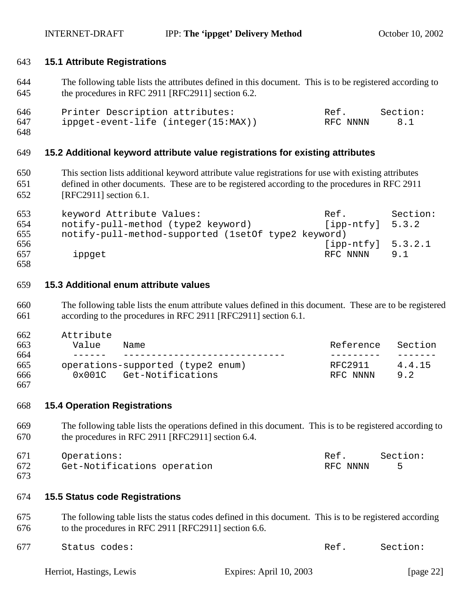### <span id="page-21-0"></span>643 **15.1 Attribute Registrations**

644 The following table lists the attributes defined in this document. This is to be registered according to 645 the procedures in RFC 2911 [RFC2911] section 6.2.

| 646 | Printer Description attributes:     | Ref.     | Section: |
|-----|-------------------------------------|----------|----------|
| 647 | ippget-event-life (integer(15:MAX)) | RFC NNNN |          |

648

### 649 **15.2 Additional keyword attribute value registrations for existing attributes**

650 This section lists additional keyword attribute value registrations for use with existing attributes 651 defined in other documents. These are to be registered according to the procedures in RFC 2911 652 [RFC2911] section 6.1.

| 653 | keyword Attribute Values:                           | Ref.                 | Section: |
|-----|-----------------------------------------------------|----------------------|----------|
| 654 | notify-pull-method (type2 keyword)                  | $[ipp-ntfy]$ 5.3.2   |          |
| 655 | notify-pull-method-supported (lsetOf type2 keyword) |                      |          |
| 656 |                                                     | $[ipp-ntfy]$ 5.3.2.1 |          |
| 657 | ippget                                              | RFC NNNN             | 9.1      |
| 658 |                                                     |                      |          |

### 659 **15.3 Additional enum attribute values**

- 660 The following table lists the enum attribute values defined in this document. These are to be registered 661 according to the procedures in RFC 2911 [RFC2911] section 6.1.
- 662 Attribute 663 Value Name Reference Section 664 ------ ----------------------------- --------- ------- 665 operations-supported (type2 enum) RFC2911 4.4.15 666 0x001C Get-Notifications RFC NNNN [9.2](#page-16-0)
- 667

### 668 **15.4 Operation Registrations**

669 The following table lists the operations defined in this document. This is to be registered according to 670 the procedures in RFC 2911 [RFC2911] section 6.4.

671 Operations: Ref. Section: 672 [Get-Notifications operation](#page-6-0) and the RFC NNNN [5](#page-6-0)

673

### 674 **15.5 Status code Registrations**

675 The following table lists the status codes defined in this document. This is to be registered according 676 to the procedures in RFC 2911 [RFC2911] section 6.6.

| 677 | Status codes: | Ref. Section: |  |
|-----|---------------|---------------|--|
|     |               |               |  |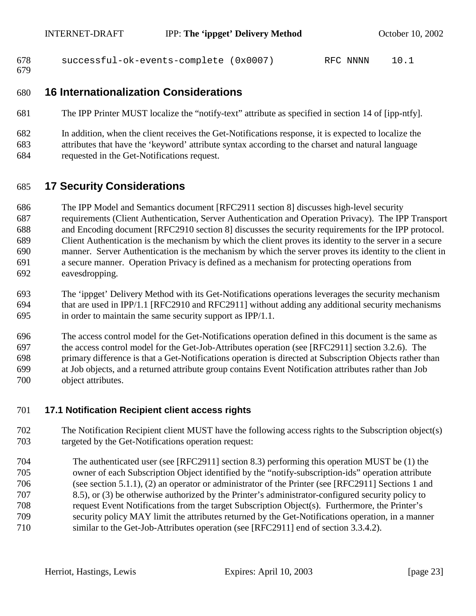```
678 successful-ok-events-complete (0x0007) RFC NNNN 10.1
```
679

## 680 **16 Internationalization Considerations**

- 681 The IPP Printer MUST localize the "notify-text" attribute as specified in section 14 of [ipp-ntfy].
- 682 In addition, when the client receives the Get-Notifications response, it is expected to localize the 683 attributes that have the 'keyword' attribute syntax according to the charset and natural language 684 requested in the Get-Notifications request.

## 685 **17 Security Considerations**

686 The IPP Model and Semantics document [RFC2911 section 8] discusses high-level security 687 requirements (Client Authentication, Server Authentication and Operation Privacy). The IPP Transport 688 and Encoding document [RFC2910 section 8] discusses the security requirements for the IPP protocol. 689 Client Authentication is the mechanism by which the client proves its identity to the server in a secure 690 manner. Server Authentication is the mechanism by which the server proves its identity to the client in 691 a secure manner. Operation Privacy is defined as a mechanism for protecting operations from 692 eavesdropping.

693 The 'ippget' Delivery Method with its Get-Notifications operations leverages the security mechanism 694 that are used in IPP/1.1 [RFC2910 and RFC2911] without adding any additional security mechanisms 695 in order to maintain the same security support as IPP/1.1.

696 The access control model for the Get-Notifications operation defined in this document is the same as 697 the access control model for the Get-Job-Attributes operation (see [RFC2911] section 3.2.6). The 698 primary difference is that a Get-Notifications operation is directed at Subscription Objects rather than 699 at Job objects, and a returned attribute group contains Event Notification attributes rather than Job 700 object attributes.

### 701 **17.1 Notification Recipient client access rights**

- 702 The Notification Recipient client MUST have the following access rights to the Subscription object(s) 703 targeted by the Get-Notifications operation request:
- 704 The authenticated user (see [RFC2911] section 8.3) performing this operation MUST be (1) the 705 owner of each Subscription Object identified by the "notify-subscription-ids" operation attribute 706 (see section [5.1.1\)](#page-7-0), (2) an operator or administrator of the Printer (see [RFC2911] Sections 1 and 707 8.5), or (3) be otherwise authorized by the Printer's administrator-configured security policy to 708 request Event Notifications from the target Subscription Object(s). Furthermore, the Printer's 709 security policy MAY limit the attributes returned by the Get-Notifications operation, in a manner 710 similar to the Get-Job-Attributes operation (see [RFC2911] end of section 3.3.4.2).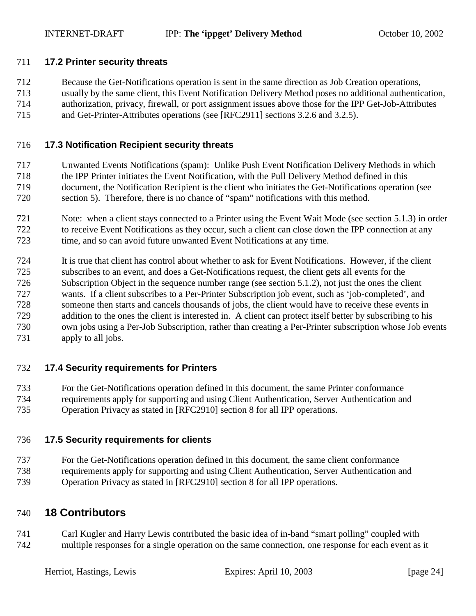### <span id="page-23-0"></span>711 **17.2 Printer security threats**

- 712 Because the Get-Notifications operation is sent in the same direction as Job Creation operations,
- 713 usually by the same client, this Event Notification Delivery Method poses no additional authentication, 714 authorization, privacy, firewall, or port assignment issues above those for the IPP Get-Job-Attributes
- 
- 715 and Get-Printer-Attributes operations (see [RFC2911] sections 3.2.6 and 3.2.5).

### 716 **17.3 Notification Recipient security threats**

- 717 Unwanted Events Notifications (spam): Unlike Push Event Notification Delivery Methods in which
- 718 the IPP Printer initiates the Event Notification, with the Pull Delivery Method defined in this 719 document, the Notification Recipient is the client who initiates the Get-Notifications operation (see
- 720 section [5\)](#page-6-0). Therefore, there is no chance of "spam" notifications with this method.
- 721 Note: when a client stays connected to a Printer using the Event Wait Mode (see section [5.1.3\)](#page-8-0) in order 722 to receive Event Notifications as they occur, such a client can close down the IPP connection at any 723 time, and so can avoid future unwanted Event Notifications at any time.
- 724 It is true that client has control about whether to ask for Event Notifications. However, if the client
- 725 subscribes to an event, and does a Get-Notifications request, the client gets all events for the 726 Subscription Object in the sequence number range (see section [5.1.2\)](#page-7-0), not just the ones the client
- 727 wants. If a client subscribes to a Per-Printer Subscription job event, such as 'job-completed', and
- 728 someone then starts and cancels thousands of jobs, the client would have to receive these events in
- 729 addition to the ones the client is interested in. A client can protect itself better by subscribing to his 730 own jobs using a Per-Job Subscription, rather than creating a Per-Printer subscription whose Job events
- 731 apply to all jobs.

### 732 **17.4 Security requirements for Printers**

- 733 For the Get-Notifications operation defined in this document, the same Printer conformance
- 734 requirements apply for supporting and using Client Authentication, Server Authentication and
- 735 Operation Privacy as stated in [RFC2910] section 8 for all IPP operations.

### 736 **17.5 Security requirements for clients**

- 737 For the Get-Notifications operation defined in this document, the same client conformance
- 738 requirements apply for supporting and using Client Authentication, Server Authentication and 739 Operation Privacy as stated in [RFC2910] section 8 for all IPP operations.

### 740 **18 Contributors**

741 Carl Kugler and Harry Lewis contributed the basic idea of in-band "smart polling" coupled with 742 multiple responses for a single operation on the same connection, one response for each event as it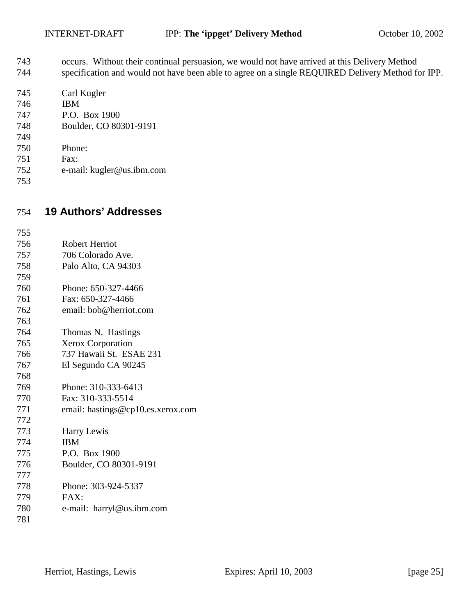- <span id="page-24-0"></span>743 occurs. Without their continual persuasion, we would not have arrived at this Delivery Method 744 specification and would not have been able to agree on a single REQUIRED Delivery Method for IPP.
- 745 Carl Kugler 746 IBM
- 747 P.O. Box 1900
- 748 Boulder, CO 80301-9191
- 749
- 750 Phone:
- 751 Fax:
- 752 e-mail: kugler@us.ibm.com
- 753

# 754 **19 Authors' Addresses**

| 755 |                                   |
|-----|-----------------------------------|
| 756 | <b>Robert Herriot</b>             |
| 757 | 706 Colorado Ave.                 |
| 758 | Palo Alto, CA 94303               |
| 759 |                                   |
| 760 | Phone: 650-327-4466               |
| 761 | Fax: 650-327-4466                 |
| 762 | email: bob@herriot.com            |
| 763 |                                   |
| 764 | Thomas N. Hastings                |
| 765 | <b>Xerox Corporation</b>          |
| 766 | 737 Hawaii St. ESAE 231           |
| 767 | El Segundo CA 90245               |
| 768 |                                   |
| 769 | Phone: 310-333-6413               |
| 770 | Fax: 310-333-5514                 |
| 771 | email: hastings@cp10.es.xerox.com |
| 772 |                                   |
| 773 | Harry Lewis                       |
| 774 | <b>IBM</b>                        |
| 775 | P.O. Box 1900                     |
| 776 | Boulder, CO 80301-9191            |
| 777 |                                   |
| 778 | Phone: 303-924-5337               |
| 779 | FAX:                              |
| 780 | e-mail: harryl@us.ibm.com         |
| 781 |                                   |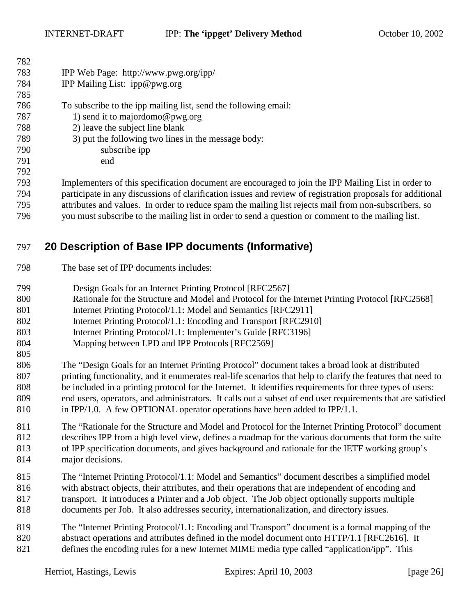<span id="page-25-0"></span>

| 782        |                                                                                                            |
|------------|------------------------------------------------------------------------------------------------------------|
| 783        | IPP Web Page: http://www.pwg.org/ipp/                                                                      |
| 784        | IPP Mailing List: ipp@pwg.org                                                                              |
| 785        |                                                                                                            |
| 786        | To subscribe to the ipp mailing list, send the following email:                                            |
| 787        | 1) send it to majordomo@pwg.org                                                                            |
| 788        | 2) leave the subject line blank                                                                            |
| 789        | 3) put the following two lines in the message body:                                                        |
| 790        | subscribe ipp                                                                                              |
| 791        | end                                                                                                        |
| 792        |                                                                                                            |
| 793        | Implementers of this specification document are encouraged to join the IPP Mailing List in order to        |
| 794        | participate in any discussions of clarification issues and review of registration proposals for additional |
| $H \cap F$ |                                                                                                            |

795 attributes and values. In order to reduce spam the mailing list rejects mail from non-subscribers, so 796 you must subscribe to the mailing list in order to send a question or comment to the mailing list.

## 797 **20 Description of Base IPP documents (Informative)**

798 The base set of IPP documents includes:

805

- 799 Design Goals for an Internet Printing Protocol [RFC2567]
- 800 Rationale for the Structure and Model and Protocol for the Internet Printing Protocol [RFC2568]
- 801 Internet Printing Protocol/1.1: Model and Semantics [RFC2911]
- 802 Internet Printing Protocol/1.1: Encoding and Transport [RFC2910]
- 803 Internet Printing Protocol/1.1: Implementer's Guide [RFC3196]
- 804 Mapping between LPD and IPP Protocols [RFC2569]
- 806 The "Design Goals for an Internet Printing Protocol" document takes a broad look at distributed 807 printing functionality, and it enumerates real-life scenarios that help to clarify the features that need to 808 be included in a printing protocol for the Internet. It identifies requirements for three types of users: 809 end users, operators, and administrators. It calls out a subset of end user requirements that are satisfied 810 in IPP/1.0. A few OPTIONAL operator operations have been added to IPP/1.1.
- 811 The "Rationale for the Structure and Model and Protocol for the Internet Printing Protocol" document 812 describes IPP from a high level view, defines a roadmap for the various documents that form the suite 813 of IPP specification documents, and gives background and rationale for the IETF working group's 814 major decisions.
- 815 The "Internet Printing Protocol/1.1: Model and Semantics" document describes a simplified model 816 with abstract objects, their attributes, and their operations that are independent of encoding and 817 transport. It introduces a Printer and a Job object. The Job object optionally supports multiple 818 documents per Job. It also addresses security, internationalization, and directory issues.
- 819 The "Internet Printing Protocol/1.1: Encoding and Transport" document is a formal mapping of the 820 abstract operations and attributes defined in the model document onto HTTP/1.1 [RFC2616]. It 821 defines the encoding rules for a new Internet MIME media type called "application/ipp". This